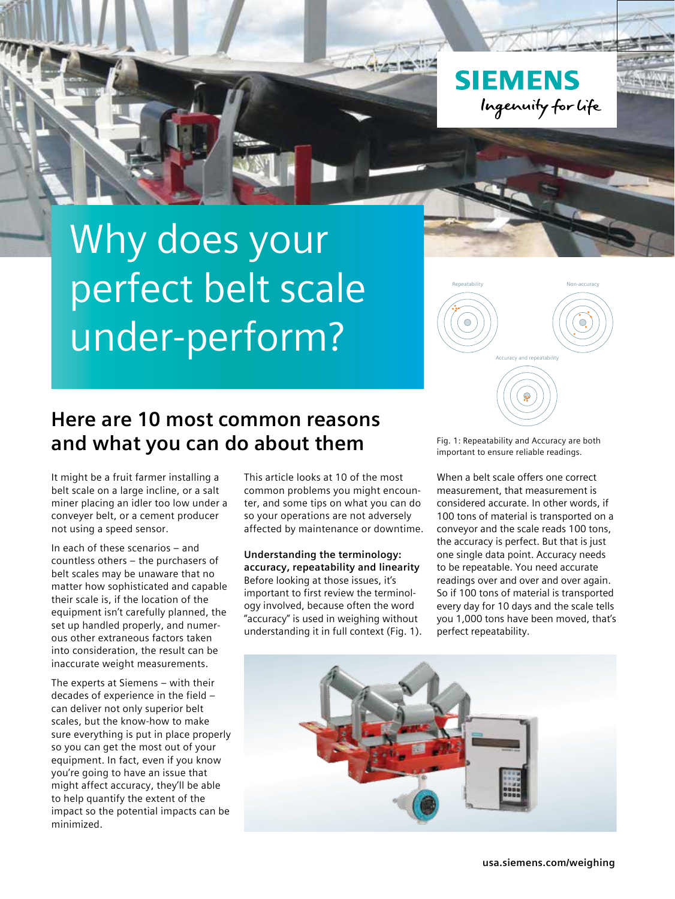**SIEMENS** Ingenuity for life

# Why does your perfect belt scale under-perform?



# **Here are 10 most common reasons and what you can do about them**

It might be a fruit farmer installing a belt scale on a large incline, or a salt miner placing an idler too low under a conveyer belt, or a cement producer not using a speed sensor.

In each of these scenarios – and countless others – the purchasers of belt scales may be unaware that no matter how sophisticated and capable their scale is, if the location of the equipment isn't carefully planned, the set up handled properly, and numerous other extraneous factors taken into consideration, the result can be inaccurate weight measurements.

The experts at Siemens – with their decades of experience in the field – can deliver not only superior belt scales, but the know-how to make sure everything is put in place properly so you can get the most out of your equipment. In fact, even if you know you're going to have an issue that might affect accuracy, they'll be able to help quantify the extent of the impact so the potential impacts can be minimized.

This article looks at 10 of the most common problems you might encounter, and some tips on what you can do so your operations are not adversely affected by maintenance or downtime.

**Understanding the terminology: accuracy, repeatability and linearity** Before looking at those issues, it's important to first review the terminology involved, because often the word "accuracy" is used in weighing without understanding it in full context (Fig. 1). Fig. 1: Repeatability and Accuracy are both important to ensure reliable readings.

When a belt scale offers one correct measurement, that measurement is considered accurate. In other words, if 100 tons of material is transported on a conveyor and the scale reads 100 tons, the accuracy is perfect. But that is just one single data point. Accuracy needs to be repeatable. You need accurate readings over and over and over again. So if 100 tons of material is transported every day for 10 days and the scale tells you 1,000 tons have been moved, that's perfect repeatability.

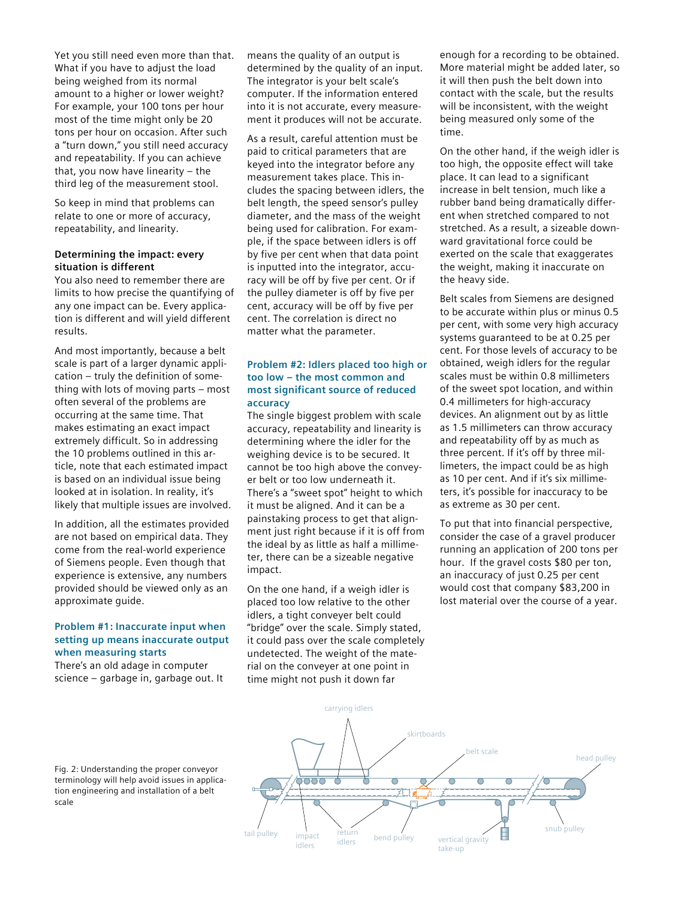Yet you still need even more than that. What if you have to adjust the load being weighed from its normal amount to a higher or lower weight? For example, your 100 tons per hour most of the time might only be 20 tons per hour on occasion. After such a "turn down," you still need accuracy and repeatability. If you can achieve that, you now have linearity – the third leg of the measurement stool.

So keep in mind that problems can relate to one or more of accuracy, repeatability, and linearity.

#### **Determining the impact: every situation is different**

You also need to remember there are limits to how precise the quantifying of any one impact can be. Every application is different and will yield different results.

And most importantly, because a belt scale is part of a larger dynamic application – truly the definition of something with lots of moving parts – most often several of the problems are occurring at the same time. That makes estimating an exact impact extremely difficult. So in addressing the 10 problems outlined in this article, note that each estimated impact is based on an individual issue being looked at in isolation. In reality, it's likely that multiple issues are involved.

In addition, all the estimates provided are not based on empirical data. They come from the real-world experience of Siemens people. Even though that experience is extensive, any numbers provided should be viewed only as an approximate guide.

### **Problem #1: Inaccurate input when setting up means inaccurate output when measuring starts**

There's an old adage in computer science – garbage in, garbage out. It means the quality of an output is determined by the quality of an input. The integrator is your belt scale's computer. If the information entered into it is not accurate, every measurement it produces will not be accurate.

As a result, careful attention must be paid to critical parameters that are keyed into the integrator before any measurement takes place. This includes the spacing between idlers, the belt length, the speed sensor's pulley diameter, and the mass of the weight being used for calibration. For example, if the space between idlers is off by five per cent when that data point is inputted into the integrator, accuracy will be off by five per cent. Or if the pulley diameter is off by five per cent, accuracy will be off by five per cent. The correlation is direct no matter what the parameter.

# **Problem #2: Idlers placed too high or too low – the most common and most significant source of reduced accuracy**

The single biggest problem with scale accuracy, repeatability and linearity is determining where the idler for the weighing device is to be secured. It cannot be too high above the conveyer belt or too low underneath it. There's a "sweet spot" height to which it must be aligned. And it can be a painstaking process to get that alignment just right because if it is off from the ideal by as little as half a millimeter, there can be a sizeable negative impact.

On the one hand, if a weigh idler is placed too low relative to the other idlers, a tight conveyer belt could "bridge" over the scale. Simply stated, it could pass over the scale completely undetected. The weight of the material on the conveyer at one point in time might not push it down far

enough for a recording to be obtained. More material might be added later, so it will then push the belt down into contact with the scale, but the results will be inconsistent, with the weight being measured only some of the time.

On the other hand, if the weigh idler is too high, the opposite effect will take place. It can lead to a significant increase in belt tension, much like a rubber band being dramatically different when stretched compared to not stretched. As a result, a sizeable downward gravitational force could be exerted on the scale that exaggerates the weight, making it inaccurate on the heavy side.

Belt scales from Siemens are designed to be accurate within plus or minus 0.5 per cent, with some very high accuracy systems guaranteed to be at 0.25 per cent. For those levels of accuracy to be obtained, weigh idlers for the regular scales must be within 0.8 millimeters of the sweet spot location, and within 0.4 millimeters for high-accuracy devices. An alignment out by as little as 1.5 millimeters can throw accuracy and repeatability off by as much as three percent. If it's off by three millimeters, the impact could be as high as 10 per cent. And if it's six millimeters, it's possible for inaccuracy to be as extreme as 30 per cent.

To put that into financial perspective, consider the case of a gravel producer running an application of 200 tons per hour. If the gravel costs \$80 per ton, an inaccuracy of just 0.25 per cent would cost that company \$83,200 in lost material over the course of a year.



Fig. 2: Understanding the proper conveyor terminology will help avoid issues in application engineering and installation of a belt scale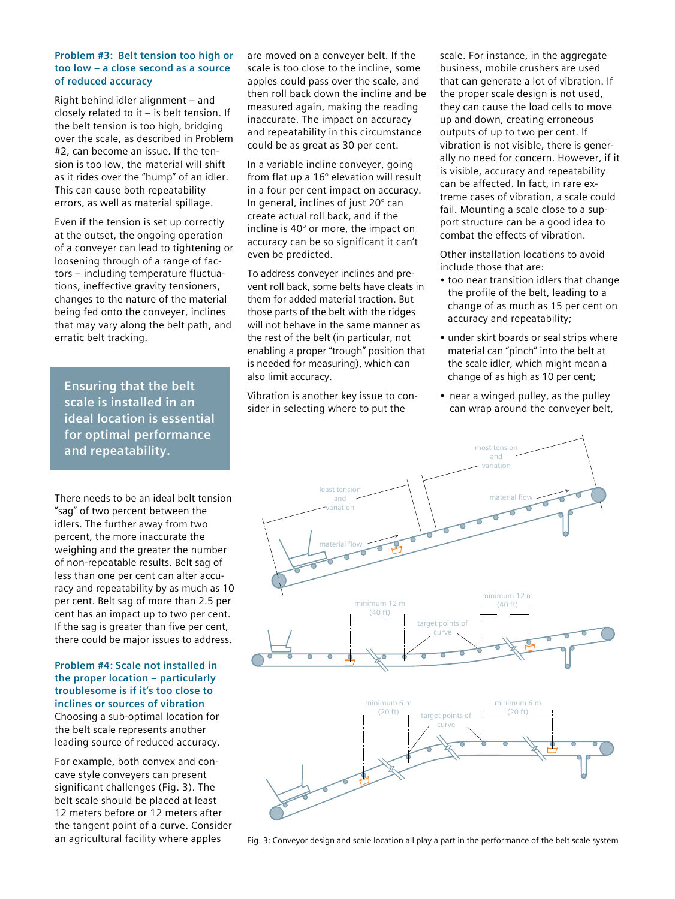#### **Problem #3: Belt tension too high or too low – a close second as a source of reduced accuracy**

Right behind idler alignment – and closely related to it – is belt tension. If the belt tension is too high, bridging over the scale, as described in Problem #2, can become an issue. If the tension is too low, the material will shift as it rides over the "hump" of an idler. This can cause both repeatability errors, as well as material spillage.

Even if the tension is set up correctly at the outset, the ongoing operation of a conveyer can lead to tightening or loosening through of a range of factors – including temperature fluctuations, ineffective gravity tensioners, changes to the nature of the material being fed onto the conveyer, inclines that may vary along the belt path, and erratic belt tracking.

**Ensuring that the belt scale is installed in an ideal location is essential for optimal performance and repeatability.**

There needs to be an ideal belt tension "sag" of two percent between the idlers. The further away from two percent, the more inaccurate the weighing and the greater the number of non-repeatable results. Belt sag of less than one per cent can alter accuracy and repeatability by as much as 10 per cent. Belt sag of more than 2.5 per cent has an impact up to two per cent. If the sag is greater than five per cent, there could be major issues to address.

**Problem #4: Scale not installed in the proper location – particularly troublesome is if it's too close to inclines or sources of vibration**  Choosing a sub-optimal location for the belt scale represents another leading source of reduced accuracy.

For example, both convex and concave style conveyers can present significant challenges (Fig. 3). The belt scale should be placed at least 12 meters before or 12 meters after the tangent point of a curve. Consider an agricultural facility where apples

are moved on a conveyer belt. If the scale is too close to the incline, some apples could pass over the scale, and then roll back down the incline and be measured again, making the reading inaccurate. The impact on accuracy and repeatability in this circumstance could be as great as 30 per cent.

In a variable incline conveyer, going from flat up a 16° elevation will result in a four per cent impact on accuracy. In general, inclines of just 20° can create actual roll back, and if the incline is 40° or more, the impact on accuracy can be so significant it can't even be predicted.

To address conveyer inclines and prevent roll back, some belts have cleats in them for added material traction. But those parts of the belt with the ridges will not behave in the same manner as the rest of the belt (in particular, not enabling a proper "trough" position that is needed for measuring), which can also limit accuracy.

Vibration is another key issue to consider in selecting where to put the

scale. For instance, in the aggregate business, mobile crushers are used that can generate a lot of vibration. If the proper scale design is not used, they can cause the load cells to move up and down, creating erroneous outputs of up to two per cent. If vibration is not visible, there is generally no need for concern. However, if it is visible, accuracy and repeatability can be affected. In fact, in rare extreme cases of vibration, a scale could fail. Mounting a scale close to a support structure can be a good idea to combat the effects of vibration.

Other installation locations to avoid include those that are:

- too near transition idlers that change the profile of the belt, leading to a change of as much as 15 per cent on accuracy and repeatability;
- under skirt boards or seal strips where material can "pinch" into the belt at the scale idler, which might mean a change of as high as 10 per cent;
- near a winged pulley, as the pulley can wrap around the conveyer belt,



Fig. 3: Conveyor design and scale location all play a part in the performance of the belt scale system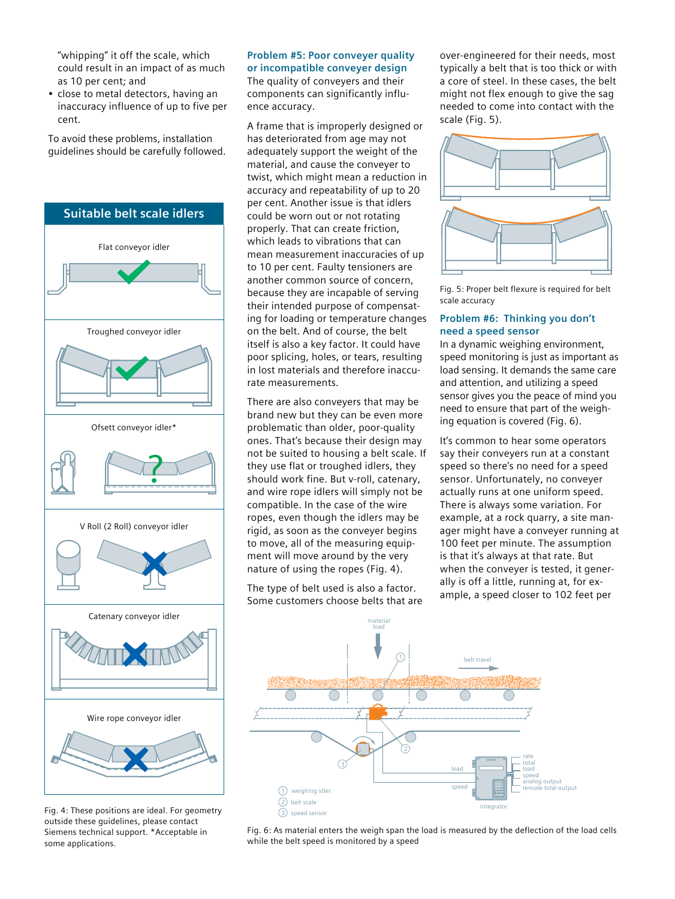"whipping" it off the scale, which could result in an impact of as much as 10 per cent; and

• close to metal detectors, having an inaccuracy influence of up to five per cent.

To avoid these problems, installation guidelines should be carefully followed.



Fig. 4: These positions are ideal. For geometry outside these guidelines, please contact Siemens technical support. \*Acceptable in some applications.

#### **Problem #5: Poor conveyer quality or incompatible conveyer design**

The quality of conveyers and their components can significantly influence accuracy.

A frame that is improperly designed or has deteriorated from age may not adequately support the weight of the material, and cause the conveyer to twist, which might mean a reduction in accuracy and repeatability of up to 20 per cent. Another issue is that idlers could be worn out or not rotating properly. That can create friction, which leads to vibrations that can mean measurement inaccuracies of up to 10 per cent. Faulty tensioners are another common source of concern, because they are incapable of serving their intended purpose of compensating for loading or temperature changes on the belt. And of course, the belt itself is also a key factor. It could have poor splicing, holes, or tears, resulting in lost materials and therefore inaccurate measurements.

There are also conveyers that may be brand new but they can be even more problematic than older, poor-quality ones. That's because their design may not be suited to housing a belt scale. If they use flat or troughed idlers, they should work fine. But v-roll, catenary, and wire rope idlers will simply not be compatible. In the case of the wire ropes, even though the idlers may be rigid, as soon as the conveyer begins to move, all of the measuring equipment will move around by the very nature of using the ropes (Fig. 4).

The type of belt used is also a factor. Some customers choose belts that are over-engineered for their needs, most typically a belt that is too thick or with a core of steel. In these cases, the belt might not flex enough to give the sag needed to come into contact with the scale (Fig. 5).



Fig. 5: Proper belt flexure is required for belt scale accuracy

# **Problem #6: Thinking you don't need a speed sensor**

In a dynamic weighing environment, speed monitoring is just as important as load sensing. It demands the same care and attention, and utilizing a speed sensor gives you the peace of mind you need to ensure that part of the weighing equation is covered (Fig. 6).

It's common to hear some operators say their conveyers run at a constant speed so there's no need for a speed sensor. Unfortunately, no conveyer actually runs at one uniform speed. There is always some variation. For example, at a rock quarry, a site manager might have a conveyer running at 100 feet per minute. The assumption is that it's always at that rate. But when the conveyer is tested, it generally is off a little, running at, for example, a speed closer to 102 feet per



Fig. 6: As material enters the weigh span the load is measured by the deflection of the load cells while the belt speed is monitored by a speed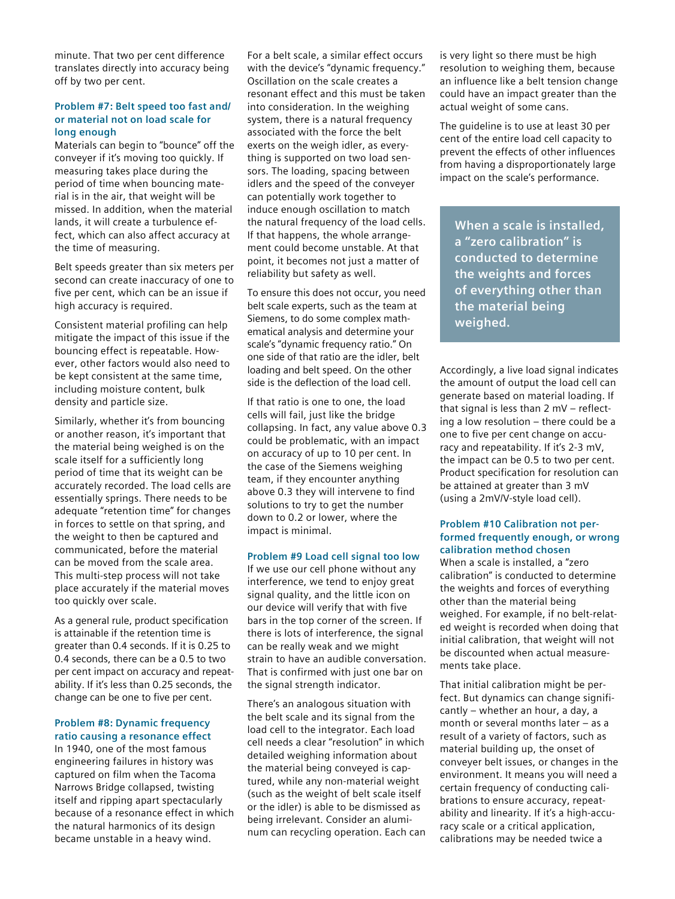minute. That two per cent difference translates directly into accuracy being off by two per cent.

#### **Problem #7: Belt speed too fast and/ or material not on load scale for long enough**

Materials can begin to "bounce" off the conveyer if it's moving too quickly. If measuring takes place during the period of time when bouncing material is in the air, that weight will be missed. In addition, when the material lands, it will create a turbulence effect, which can also affect accuracy at the time of measuring.

Belt speeds greater than six meters per second can create inaccuracy of one to five per cent, which can be an issue if high accuracy is required.

Consistent material profiling can help mitigate the impact of this issue if the bouncing effect is repeatable. However, other factors would also need to be kept consistent at the same time, including moisture content, bulk density and particle size.

Similarly, whether it's from bouncing or another reason, it's important that the material being weighed is on the scale itself for a sufficiently long period of time that its weight can be accurately recorded. The load cells are essentially springs. There needs to be adequate "retention time" for changes in forces to settle on that spring, and the weight to then be captured and communicated, before the material can be moved from the scale area. This multi-step process will not take place accurately if the material moves too quickly over scale.

As a general rule, product specification is attainable if the retention time is greater than 0.4 seconds. If it is 0.25 to 0.4 seconds, there can be a 0.5 to two per cent impact on accuracy and repeatability. If it's less than 0.25 seconds, the change can be one to five per cent.

# **Problem #8: Dynamic frequency ratio causing a resonance effect**

In 1940, one of the most famous engineering failures in history was captured on film when the Tacoma Narrows Bridge collapsed, twisting itself and ripping apart spectacularly because of a resonance effect in which the natural harmonics of its design became unstable in a heavy wind.

For a belt scale, a similar effect occurs with the device's "dynamic frequency." Oscillation on the scale creates a resonant effect and this must be taken into consideration. In the weighing system, there is a natural frequency associated with the force the belt exerts on the weigh idler, as everything is supported on two load sensors. The loading, spacing between idlers and the speed of the conveyer can potentially work together to induce enough oscillation to match the natural frequency of the load cells. If that happens, the whole arrangement could become unstable. At that point, it becomes not just a matter of reliability but safety as well.

To ensure this does not occur, you need belt scale experts, such as the team at Siemens, to do some complex mathematical analysis and determine your scale's "dynamic frequency ratio." On one side of that ratio are the idler, belt loading and belt speed. On the other side is the deflection of the load cell.

If that ratio is one to one, the load cells will fail, just like the bridge collapsing. In fact, any value above 0.3 could be problematic, with an impact on accuracy of up to 10 per cent. In the case of the Siemens weighing team, if they encounter anything above 0.3 they will intervene to find solutions to try to get the number down to 0.2 or lower, where the impact is minimal.

#### **Problem #9 Load cell signal too low**

If we use our cell phone without any interference, we tend to enjoy great signal quality, and the little icon on our device will verify that with five bars in the top corner of the screen. If there is lots of interference, the signal can be really weak and we might strain to have an audible conversation. That is confirmed with just one bar on the signal strength indicator.

There's an analogous situation with the belt scale and its signal from the load cell to the integrator. Each load cell needs a clear "resolution" in which detailed weighing information about the material being conveyed is captured, while any non-material weight (such as the weight of belt scale itself or the idler) is able to be dismissed as being irrelevant. Consider an aluminum can recycling operation. Each can is very light so there must be high resolution to weighing them, because an influence like a belt tension change could have an impact greater than the actual weight of some cans.

The guideline is to use at least 30 per cent of the entire load cell capacity to prevent the effects of other influences from having a disproportionately large impact on the scale's performance.

**When a scale is installed, a "zero calibration" is conducted to determine the weights and forces of everything other than the material being weighed.**

Accordingly, a live load signal indicates the amount of output the load cell can generate based on material loading. If that signal is less than 2 mV – reflecting a low resolution – there could be a one to five per cent change on accuracy and repeatability. If it's 2-3 mV, the impact can be 0.5 to two per cent. Product specification for resolution can be attained at greater than 3 mV (using a 2mV/V-style load cell).

#### **Problem #10 Calibration not performed frequently enough, or wrong calibration method chosen**

When a scale is installed, a "zero calibration" is conducted to determine the weights and forces of everything other than the material being weighed. For example, if no belt-related weight is recorded when doing that initial calibration, that weight will not be discounted when actual measurements take place.

That initial calibration might be perfect. But dynamics can change significantly – whether an hour, a day, a month or several months later – as a result of a variety of factors, such as material building up, the onset of conveyer belt issues, or changes in the environment. It means you will need a certain frequency of conducting calibrations to ensure accuracy, repeatability and linearity. If it's a high-accuracy scale or a critical application, calibrations may be needed twice a